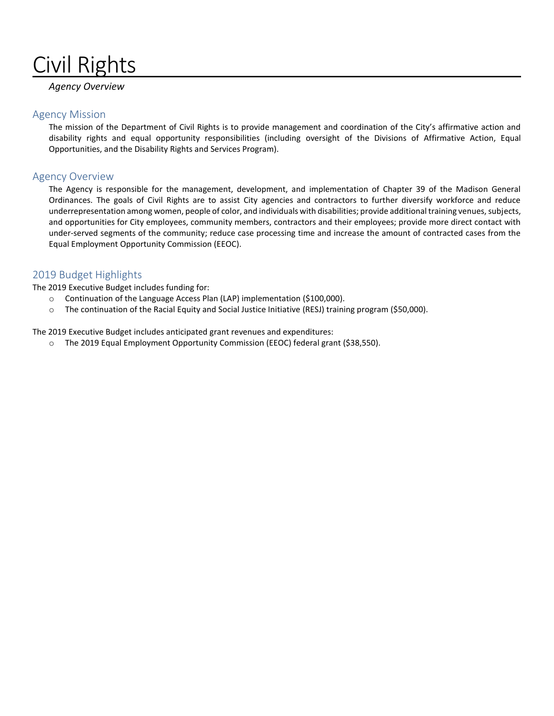# Civil Rights

#### *Agency Overview*

#### Agency Mission

The mission of the Department of Civil Rights is to provide management and coordination of the City's affirmative action and disability rights and equal opportunity responsibilities (including oversight of the Divisions of Affirmative Action, Equal Opportunities, and the Disability Rights and Services Program).

#### Agency Overview

The Agency is responsible for the management, development, and implementation of Chapter 39 of the Madison General Ordinances. The goals of Civil Rights are to assist City agencies and contractors to further diversify workforce and reduce underrepresentation among women, people of color, and individuals with disabilities; provide additional training venues, subjects, and opportunities for City employees, community members, contractors and their employees; provide more direct contact with under-served segments of the community; reduce case processing time and increase the amount of contracted cases from the Equal Employment Opportunity Commission (EEOC).

#### 2019 Budget Highlights

The 2019 Executive Budget includes funding for:

- o Continuation of the Language Access Plan (LAP) implementation (\$100,000).
- o The continuation of the Racial Equity and Social Justice Initiative (RESJ) training program (\$50,000).

The 2019 Executive Budget includes anticipated grant revenues and expenditures:

o The 2019 Equal Employment Opportunity Commission (EEOC) federal grant (\$38,550).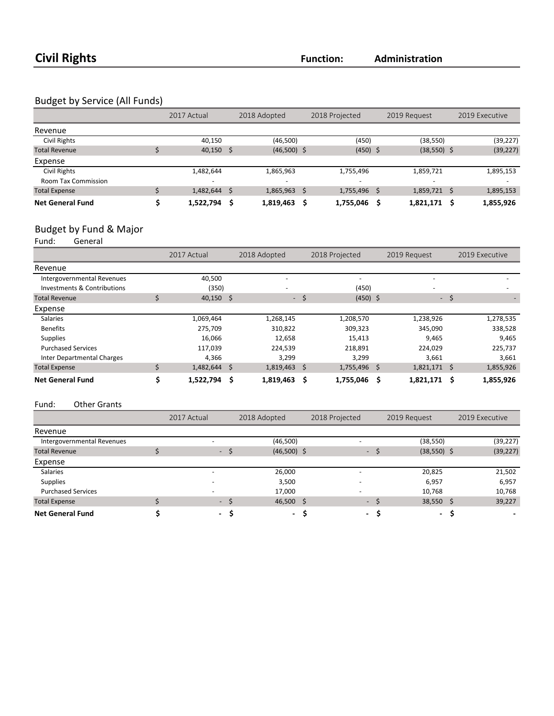### Budget by Service (All Funds)

|                         | 2017 Actual              |   | 2018 Adopted  |     | 2018 Projected           | 2019 Request  |   | 2019 Executive |
|-------------------------|--------------------------|---|---------------|-----|--------------------------|---------------|---|----------------|
| Revenue                 |                          |   |               |     |                          |               |   |                |
| Civil Rights            | 40,150                   |   | (46,500)      |     | (450)                    | (38, 550)     |   | (39, 227)      |
| <b>Total Revenue</b>    | $40,150$ \$              |   | $(46,500)$ \$ |     | $(450)$ \$               | $(38,550)$ \$ |   | (39, 227)      |
| Expense                 |                          |   |               |     |                          |               |   |                |
| Civil Rights            | 1,482,644                |   | 1,865,963     |     | 1,755,496                | 1,859,721     |   | 1,895,153      |
| Room Tax Commission     | $\overline{\phantom{a}}$ |   |               |     | $\overline{\phantom{a}}$ | -             |   |                |
| <b>Total Expense</b>    | 1,482,644                | S | 1,865,963     | - S | 1,755,496 \$             | 1,859,721     | S | 1,895,153      |
| <b>Net General Fund</b> | 1,522,794                | Ś | 1,819,463     |     | 1,755,046                | 1,821,171     | S | 1,855,926      |

# Budget by Fund & Major<br>Fund: General

General

|                             | 2017 Actual    |   | 2018 Adopted             |     | 2018 Projected           |   | 2019 Request   |        | 2019 Executive |
|-----------------------------|----------------|---|--------------------------|-----|--------------------------|---|----------------|--------|----------------|
| Revenue                     |                |   |                          |     |                          |   |                |        |                |
| Intergovernmental Revenues  | 40,500         |   | $\overline{\phantom{0}}$ |     | $\overline{\phantom{a}}$ |   |                |        |                |
| Investments & Contributions | (350)          |   |                          |     | (450)                    |   |                |        |                |
| <b>Total Revenue</b>        | $40,150$ \$    |   | ۰.                       | -\$ | $(450)$ \$               |   |                | $-$ \$ |                |
| Expense                     |                |   |                          |     |                          |   |                |        |                |
| <b>Salaries</b>             | 1,069,464      |   | 1,268,145                |     | 1,208,570                |   | 1,238,926      |        | 1,278,535      |
| <b>Benefits</b>             | 275,709        |   | 310,822                  |     | 309,323                  |   | 345,090        |        | 338,528        |
| <b>Supplies</b>             | 16,066         |   | 12,658                   |     | 15,413                   |   | 9,465          |        | 9,465          |
| <b>Purchased Services</b>   | 117,039        |   | 224,539                  |     | 218,891                  |   | 224,029        |        | 225,737        |
| Inter Departmental Charges  | 4,366          |   | 3,299                    |     | 3,299                    |   | 3,661          |        | 3,661          |
| <b>Total Expense</b>        | $1,482,644$ \$ |   | $1,819,463$ \$           |     | 1,755,496 \$             |   | $1,821,171$ \$ |        | 1,855,926      |
| <b>Net General Fund</b>     | 1,522,794      | Ŝ | 1,819,463                | S   | 1,755,046                | S | 1,821,171      | Ŝ      | 1,855,926      |

#### Fund: Other Grants

|                            | 2017 Actual | 2018 Adopted |               | 2018 Projected           |    | 2019 Request  | 2019 Executive |  |
|----------------------------|-------------|--------------|---------------|--------------------------|----|---------------|----------------|--|
| Revenue                    |             |              |               |                          |    |               |                |  |
| Intergovernmental Revenues | -           |              | (46,500)      | $\overline{\phantom{0}}$ |    | (38, 550)     | (39, 227)      |  |
| <b>Total Revenue</b>       |             | - \$         | $(46,500)$ \$ | - \$                     |    | $(38,550)$ \$ | (39, 227)      |  |
| Expense                    |             |              |               |                          |    |               |                |  |
| <b>Salaries</b>            |             |              | 26,000        | $\overline{\phantom{0}}$ |    | 20,825        | 21,502         |  |
| <b>Supplies</b>            |             |              | 3,500         |                          |    | 6,957         | 6,957          |  |
| <b>Purchased Services</b>  |             |              | 17,000        | $\overline{\phantom{0}}$ |    | 10,768        | 10,768         |  |
| <b>Total Expense</b>       |             | - \$         | $46,500$ \$   | $-5$                     |    | $38,550$ \$   | 39,227         |  |
| <b>Net General Fund</b>    |             | - S          | $\sim$        | $\overline{\phantom{a}}$ | -S | $\sim$        |                |  |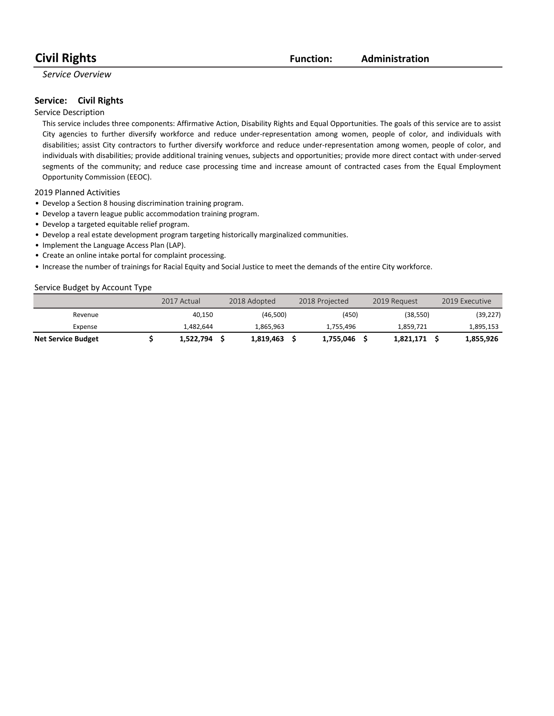### **Civil Rights Function:**

#### **Administration**

#### *Service Overview*

#### **Service:** Civil Rights

#### Service Description

This service includes three components: Affirmative Action, Disability Rights and Equal Opportunities. The goals of this service are to assist City agencies to further diversify workforce and reduce under-representation among women, people of color, and individuals with disabilities; assist City contractors to further diversify workforce and reduce under-representation among women, people of color, and individuals with disabilities; provide additional training venues, subjects and opportunities; provide more direct contact with under-served segments of the community; and reduce case processing time and increase amount of contracted cases from the Equal Employment Opportunity Commission (EEOC).

2019 Planned Activities

- Develop a Section 8 housing discrimination training program.
- Develop a tavern league public accommodation training program.
- Develop a targeted equitable relief program.
- Develop a real estate development program targeting historically marginalized communities.
- Implement the Language Access Plan (LAP).
- Create an online intake portal for complaint processing.
- Increase the number of trainings for Racial Equity and Social Justice to meet the demands of the entire City workforce.

#### Service Budget by Account Type

|                           | 2017 Actual | 2018 Adopted | 2018 Projected | 2019 Request | 2019 Executive |
|---------------------------|-------------|--------------|----------------|--------------|----------------|
| Revenue                   | 40.150      | (46,500)     | (450)          | (38, 550)    | (39,227)       |
| Expense                   | 1.482.644   | 1.865.963    | 1.755.496      | 1.859.721    | 1,895,153      |
| <b>Net Service Budget</b> | 1,522,794   | 1.819.463    | 1.755.046      | 1,821,171    | 1,855,926      |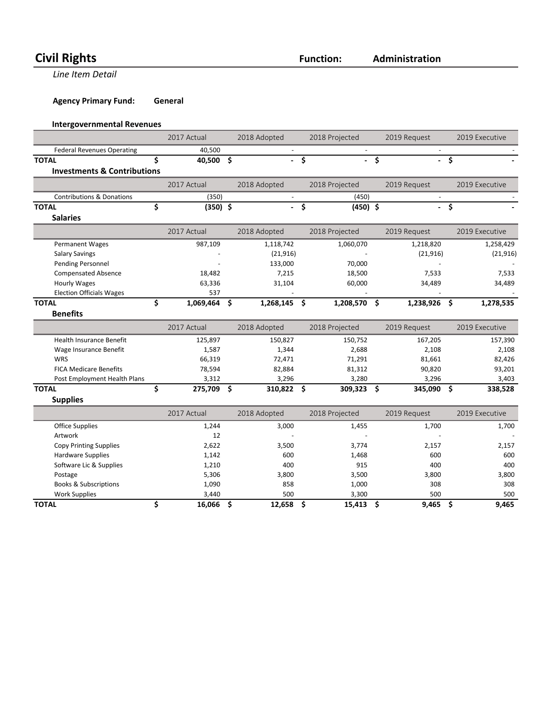# **Civil Rights Function:**

**Line Item Detail** 

**Agency Primary Fund: General** 

#### **Intergovernmental Revenues**

|                                        | 2017 Actual      |               | 2018 Adopted             |                    | 2018 Projected | 2019 Request   |      | 2019 Executive |
|----------------------------------------|------------------|---------------|--------------------------|--------------------|----------------|----------------|------|----------------|
| <b>Federal Revenues Operating</b>      | 40,500           |               | $\blacksquare$           |                    |                |                |      |                |
| <b>TOTAL</b>                           | \$<br>40,500     | $\mathsf{\$}$ | a.                       | $\dot{\mathsf{s}}$ | a.             | \$             | - \$ |                |
| <b>Investments &amp; Contributions</b> |                  |               |                          |                    |                |                |      |                |
|                                        | 2017 Actual      |               | 2018 Adopted             |                    | 2018 Projected | 2019 Request   |      | 2019 Executive |
| <b>Contributions &amp; Donations</b>   | (350)            |               |                          |                    | (450)          |                |      |                |
| <b>TOTAL</b>                           | \$<br>$(350)$ \$ |               | $\overline{\phantom{0}}$ | -\$                | $(450)$ \$     |                | - \$ |                |
| <b>Salaries</b>                        |                  |               |                          |                    |                |                |      |                |
|                                        | 2017 Actual      |               | 2018 Adopted             |                    | 2018 Projected | 2019 Request   |      | 2019 Executive |
| <b>Permanent Wages</b>                 | 987,109          |               | 1,118,742                |                    | 1,060,070      | 1,218,820      |      | 1,258,429      |
| <b>Salary Savings</b>                  |                  |               | (21, 916)                |                    |                | (21, 916)      |      | (21, 916)      |
| Pending Personnel                      |                  |               | 133,000                  |                    | 70,000         |                |      |                |
| <b>Compensated Absence</b>             | 18,482           |               | 7,215                    |                    | 18,500         | 7,533          |      | 7,533          |
| Hourly Wages                           | 63,336           |               | 31,104                   |                    | 60,000         | 34,489         |      | 34,489         |
| <b>Election Officials Wages</b>        | 537              |               |                          |                    |                |                |      |                |
| <b>TOTAL</b>                           | \$<br>1,069,464  | Ŝ.            | 1,268,145                | - \$               | 1,208,570 \$   | 1,238,926      | \$.  | 1,278,535      |
| <b>Benefits</b>                        |                  |               |                          |                    |                |                |      |                |
|                                        | 2017 Actual      |               | 2018 Adopted             |                    | 2018 Projected | 2019 Request   |      | 2019 Executive |
| <b>Health Insurance Benefit</b>        | 125,897          |               | 150,827                  |                    | 150,752        | 167,205        |      | 157,390        |
| Wage Insurance Benefit                 | 1,587            |               | 1,344                    |                    | 2,688          | 2,108          |      | 2,108          |
| WRS                                    | 66,319           |               | 72,471                   |                    | 71,291         | 81,661         |      | 82,426         |
| <b>FICA Medicare Benefits</b>          | 78,594           |               | 82,884                   |                    | 81,312         | 90,820         |      | 93,201         |
| Post Employment Health Plans           | 3,312            |               | 3,296                    |                    | 3,280          | 3,296          |      | 3,403          |
| <b>TOTAL</b>                           | \$<br>275,709    | Ŝ.            | 310,822                  | - \$               | 309,323        | \$<br>345,090  | \$   | 338,528        |
| <b>Supplies</b>                        |                  |               |                          |                    |                |                |      |                |
|                                        | 2017 Actual      |               | 2018 Adopted             |                    | 2018 Projected | 2019 Request   |      | 2019 Executive |
| <b>Office Supplies</b>                 | 1,244            |               | 3,000                    |                    | 1,455          | 1,700          |      | 1,700          |
| Artwork                                | 12               |               |                          |                    |                |                |      |                |
| <b>Copy Printing Supplies</b>          | 2,622            |               | 3,500                    |                    | 3,774          | 2,157          |      | 2,157          |
| Hardware Cupplies                      | 1.117            |               | C <sub>0</sub>           |                    | 1ACQ           | C <sub>0</sub> |      | C <sub>0</sub> |

| <b>TOTAL</b>                     | 16,066 | 12,658 | 15,413 | 9,465 | 9,465 |
|----------------------------------|--------|--------|--------|-------|-------|
|                                  |        |        |        |       |       |
| <b>Work Supplies</b>             | 3.440  | 500    | 3.300  | 500   | 500   |
| <b>Books &amp; Subscriptions</b> | 1,090  | 858    | 1,000  | 308   | 308   |
| Postage                          | 5,306  | 3,800  | 3,500  | 3,800 | 3,800 |
| Software Lic & Supplies          | 1,210  | 400    | 915    | 400   | 400   |
| <b>Hardware Supplies</b>         | 1,142  | 600    | 1,468  | 600   | 600   |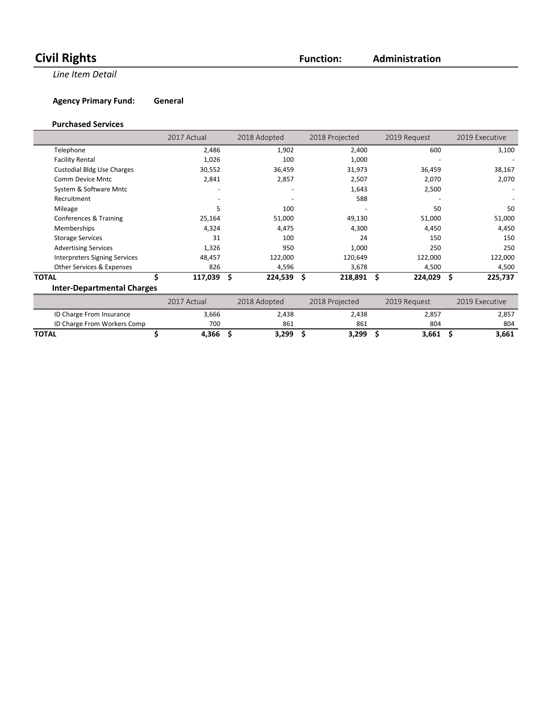# **Civil Rights Function:**

**Administration**

**Line Item Detail** 

**Agency Primary Fund: General** 

#### **Purchased Services**

|                                      | 2017 Actual | 2018 Adopted  |         | 2018 Projected | 2019 Request | 2019 Executive |
|--------------------------------------|-------------|---------------|---------|----------------|--------------|----------------|
| Telephone                            | 2,486       |               | 1,902   | 2,400          | 600          | 3,100          |
| <b>Facility Rental</b>               | 1,026       |               | 100     | 1,000          |              |                |
| <b>Custodial Bldg Use Charges</b>    | 30,552      |               | 36,459  | 31,973         | 36,459       | 38,167         |
| Comm Device Mntc                     | 2,841       |               | 2,857   | 2,507          | 2,070        | 2,070          |
| System & Software Mntc               |             |               |         | 1,643          | 2,500        |                |
| Recruitment                          |             |               |         | 588            |              |                |
| Mileage                              | 5           |               | 100     |                | 50           | 50             |
| Conferences & Training               | 25,164      |               | 51,000  | 49,130         | 51,000       | 51,000         |
| Memberships                          | 4,324       |               | 4,475   | 4,300          | 4,450        | 4,450          |
| <b>Storage Services</b>              | 31          |               | 100     | 24             | 150          | 150            |
| <b>Advertising Services</b>          | 1,326       |               | 950     | 1,000          | 250          | 250            |
| <b>Interpreters Signing Services</b> | 48,457      |               | 122,000 | 120,649        | 122,000      | 122,000        |
| Other Services & Expenses            | 826         |               | 4,596   | 3,678          | 4,500        | 4,500          |
| Ś.<br><b>TOTAL</b>                   | 117,039     | \$<br>224,539 | Ŝ       | $218,891$ \$   | 224,029      | \$<br>225,737  |
| <b>Inter-Departmental Charges</b>    |             |               |         |                |              |                |
|                                      | 2017 Actual | 2018 Adopted  |         | 2018 Projected | 2019 Request | 2019 Executive |
| ID Charge From Insurance             | 3,666       |               | 2,438   | 2,438          | 2,857        | 2,857          |
| ID Charge From Workers Comp          | 700         |               | 861     | 861            | 804          | 804            |

**TOTAL \$ 4,366 \$ 3,299 \$ 3,299 \$ 3,661 \$ 3,661**